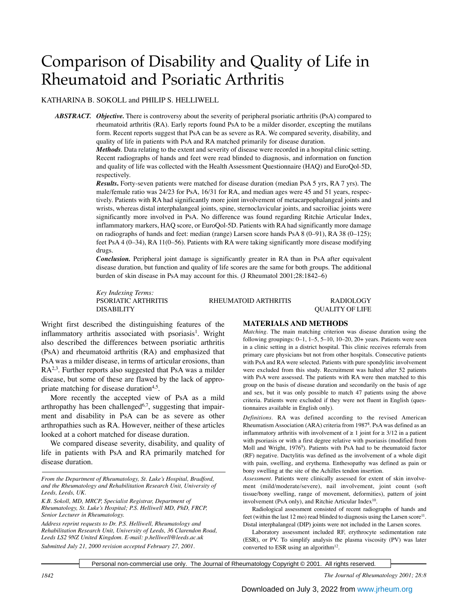# Comparison of Disability and Quality of Life in Rheumatoid and Psoriatic Arthritis

# KATHARINA B. SOKOLL and PHILIP S. HELLIWELL

*ABSTRACT. Objective.* There is controversy about the severity of peripheral psoriatic arthritis (PsA) compared to rheumatoid arthritis (RA). Early reports found PsA to be a milder disorder, excepting the mutilans form. Recent reports suggest that PsA can be as severe as RA. We compared severity, disability, and quality of life in patients with PsA and RA matched primarily for disease duration.

> *Methods*. Data relating to the extent and severity of disease were recorded in a hospital clinic setting. Recent radiographs of hands and feet were read blinded to diagnosis, and information on function and quality of life was collected with the Health Assessment Questionnaire (HAQ) and EuroQol-5D, respectively.

> *Results***.** Forty-seven patients were matched for disease duration (median PsA 5 yrs, RA 7 yrs). The male/female ratio was 24/23 for PsA, 16/31 for RA, and median ages were 45 and 51 years, respectively. Patients with RA had significantly more joint involvement of metacarpophalangeal joints and wrists, whereas distal interphalangeal joints, spine, sternoclavicular joints, and sacroiliac joints were significantly more involved in PsA. No difference was found regarding Ritchie Articular Index, inflammatory markers, HAQ score, or EuroQol-5D. Patients with RA had significantly more damage on radiographs of hands and feet: median (range) Larsen score hands PsA 8 (0–91), RA 38 (0–125); feet PsA 4 (0–34), RA 11(0–56). Patients with RA were taking significantly more disease modifying drugs.

> *Conclusion.* Peripheral joint damage is significantly greater in RA than in PsA after equivalent disease duration, but function and quality of life scores are the same for both groups. The additional burden of skin disease in PsA may account for this. (J Rheumatol 2001;28:1842–6)

> *Key Indexing Terms:* DISABILITY QUALITY OF LIFE

> PSORIATIC ARTHRITIS **RHEUMATOID ARTHRITIS** RADIOLOGY

Wright first described the distinguishing features of the inflammatory arthritis associated with psoriasis<sup>1</sup>. Wright also described the differences between psoriatic arthritis (PsA) and rheumatoid arthritis (RA) and emphasized that PsA was a milder disease, in terms of articular erosions, than RA<sup>2,3</sup>. Further reports also suggested that PsA was a milder disease, but some of these are flawed by the lack of appropriate matching for disease duration<sup>4,5</sup>.

More recently the accepted view of PsA as a mild arthropathy has been challenged $6,7$ , suggesting that impairment and disability in PsA can be as severe as other arthropathies such as RA. However, neither of these articles looked at a cohort matched for disease duration.

We compared disease severity, disability, and quality of life in patients with PsA and RA primarily matched for disease duration.

*From the Department of Rheumatology, St. Luke's Hospital, Bradford, and the Rheumatology and Rehabilitation Research Unit, University of Leeds, Leeds, UK.*

*K.B. Sokoll, MD, MRCP, Specialist Registrar, Department of Rheumatology, St. Luke's Hospital; P.S. Helliwell MD, PhD, FRCP, Senior Lecturer in Rheumatology.* 

*Address reprint requests to Dr. P.S. Helliwell, Rheumatology and Rehabilitation Research Unit, University of Leeds, 36 Clarendon Road, Leeds LS2 9NZ United Kingdom. E-mail: p.helliwell@leeds.ac.uk Submitted July 21, 2000 revision accepted February 27, 2001.*

### **MATERIALS AND METHODS**

*Matching*. The main matching criterion was disease duration using the following groupings: 0–1, 1–5, 5–10, 10–20, 20+ years. Patients were seen in a clinic setting in a district hospital. This clinic receives referrals from primary care physicians but not from other hospitals. Consecutive patients with PsA and RA were selected. Patients with pure spondylitic involvement were excluded from this study. Recruitment was halted after 52 patients with PsA were assessed. The patients with RA were then matched to this group on the basis of disease duration and secondarily on the basis of age and sex, but it was only possible to match 47 patients using the above criteria. Patients were excluded if they were not fluent in English (questionnaires available in English only).

*Definitions.* RA was defined according to the revised American Rheumatism Association (ARA) criteria from 19878 . PsA was defined as an inflammatory arthritis with involvement of  $\geq 1$  joint for  $\geq 3/12$  in a patient with psoriasis or with a first degree relative with psoriasis (modified from Moll and Wright, 1976<sup>9</sup>). Patients with PsA had to be rheumatoid factor (RF) negative. Dactylitis was defined as the involvement of a whole digit with pain, swelling, and erythema. Enthesopathy was defined as pain or bony swelling at the site of the Achilles tendon insertion.

*Assessment.* Patients were clinically assessed for extent of skin involvement (mild/moderate/severe), nail involvement, joint count (soft tissue/bony swelling, range of movement, deformities), pattern of joint involvement (PsA only), and Ritchie Articular Index<sup>10</sup>.

Radiological assessment consisted of recent radiographs of hands and feet (within the last 12 mo) read blinded to diagnosis using the Larsen score<sup>11</sup>. Distal interphalangeal (DIP) joints were not included in the Larsen scores.

Laboratory assessment included RF, erythrocyte sedimentation rate (ESR), or PV. To simplify analysis the plasma viscosity (PV) was later converted to ESR using an algorithm<sup>12</sup>.

Personal non-commercial use only. The Journal of Rheumatology Copyright © 2001. All rights reserved.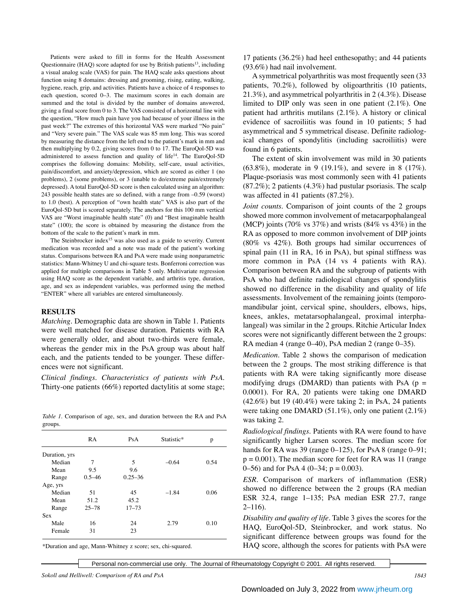Patients were asked to fill in forms for the Health Assessment Questionnaire (HAQ) score adapted for use by British patients<sup>13</sup>, including a visual analog scale (VAS) for pain. The HAQ scale asks questions about function using 8 domains: dressing and grooming, rising, eating, walking, hygiene, reach, grip, and activities. Patients have a choice of 4 responses to each question, scored 0–3. The maximum scores in each domain are summed and the total is divided by the number of domains answered, giving a final score from 0 to 3. The VAS consisted of a horizontal line with the question, "How much pain have you had because of your illness in the past week?" The extremes of this horizontal VAS were marked "No pain" and "Very severe pain." The VAS scale was 85 mm long. This was scored by measuring the distance from the left end to the patient's mark in mm and then multiplying by 0.2, giving scores from 0 to 17. The EuroQol-5D was administered to assess function and quality of life<sup>14</sup>. The EuroQol-5D comprises the following domains: Mobility, self-care, usual activities, pain/discomfort, and anxiety/depression, which are scored as either 1 (no problems), 2 (some problems), or 3 (unable to do/extreme pain/extremely depressed). A total EuroQol-5D score is then calculated using an algorithm: 243 possible health states are so defined, with a range from –0.59 (worst) to 1.0 (best). A perception of "own health state" VAS is also part of the EuroQol-5D but is scored separately. The anchors for this 100 mm vertical VAS are "Worst imaginable health state" (0) and "Best imaginable health state" (100); the score is obtained by measuring the distance from the bottom of the scale to the patient's mark in mm.

The Steinbrocker index<sup>15</sup> was also used as a guide to severity. Current medication was recorded and a note was made of the patient's working status. Comparisons between RA and PsA were made using nonparametric statistics: Mann-Whitney U and chi-square tests. Bonferroni correction was applied for multiple comparisons in Table 5 only. Multivariate regression using HAQ score as the dependent variable, and arthritis type, duration, age, and sex as independent variables, was performed using the method "ENTER" where all variables are entered simultaneously.

#### **RESULTS**

*Matching.* Demographic data are shown in Table 1. Patients were well matched for disease duration. Patients with RA were generally older, and about two-thirds were female, whereas the gender mix in the PsA group was about half each, and the patients tended to be younger. These differences were not significant.

*Clinical findings*. *Characteristics of patients with PsA.* Thirty-one patients (66%) reported dactylitis at some stage;

*Table 1.* Comparison of age, sex, and duration between the RA and PsA groups.

|               | RA         | PsA         | Statistic* | p    |
|---------------|------------|-------------|------------|------|
| Duration, yrs |            |             |            |      |
| Median        | 7          | 5           | $-0.64$    | 0.54 |
| Mean          | 9.5        | 9.6         |            |      |
| Range         | $0.5 - 46$ | $0.25 - 36$ |            |      |
| Age, yrs      |            |             |            |      |
| Median        | 51         | 45          | $-1.84$    | 0.06 |
| Mean          | 51.2       | 45.2        |            |      |
| Range         | $25 - 78$  | $17 - 73$   |            |      |
| <b>Sex</b>    |            |             |            |      |
| Male          | 16         | 24          | 2.79       | 0.10 |
| Female        | 31         | 23          |            |      |

\*Duration and age, Mann-Whitney z score; sex, chi-squared.

17 patients (36.2%) had heel enthesopathy; and 44 patients (93.6%) had nail involvement.

A symmetrical polyarthritis was most frequently seen (33 patients, 70.2%), followed by oligoarthritis (10 patients, 21.3%), and asymmetrical polyarthritis in 2 (4.3%). Disease limited to DIP only was seen in one patient (2.1%). One patient had arthritis mutilans (2.1%). A history or clinical evidence of sacroiliitis was found in 10 patients; 5 had asymmetrical and 5 symmetrical disease. Definite radiological changes of spondylitis (including sacroiliitis) were found in 6 patients.

The extent of skin involvement was mild in 30 patients (63.8%), moderate in 9 (19.1%), and severe in 8 (17%). Plaque-psoriasis was most commonly seen with 41 patients  $(87.2\%)$ ; 2 patients  $(4.3\%)$  had pustular psoriasis. The scalp was affected in 41 patients (87.2%).

*Joint counts.* Comparison of joint counts of the 2 groups showed more common involvement of metacarpophalangeal (MCP) joints (70% vs  $37\%$ ) and wrists (84% vs  $43\%$ ) in the RA as opposed to more common involvement of DIP joints (80% vs 42%). Both groups had similar occurrences of spinal pain (11 in RA, 16 in PsA), but spinal stiffness was more common in PsA (14 vs 4 patients with RA). Comparison between RA and the subgroup of patients with PsA who had definite radiological changes of spondylitis showed no difference in the disability and quality of life assessments. Involvement of the remaining joints (temporomandibular joint, cervical spine, shoulders, elbows, hips, knees, ankles, metatarsophalangeal, proximal interphalangeal) was similar in the 2 groups. Ritchie Articular Index scores were not significantly different between the 2 groups: RA median 4 (range 0–40), PsA median 2 (range 0–35).

*Medication.* Table 2 shows the comparison of medication between the 2 groups. The most striking difference is that patients with RA were taking significantly more disease modifying drugs (DMARD) than patients with PsA ( $p =$ 0.0001). For RA, 20 patients were taking one DMARD (42.6%) but 19 (40.4%) were taking 2; in PsA, 24 patients were taking one DMARD (51.1%), only one patient (2.1%) was taking 2.

*Radiological findings.* Patients with RA were found to have significantly higher Larsen scores. The median score for hands for RA was 39 (range 0–125), for PsA 8 (range 0–91;  $p = 0.001$ ). The median score for feet for RA was 11 (range 0–56) and for PsA 4 (0–34;  $p = 0.003$ ).

*ESR.* Comparison of markers of inflammation (ESR) showed no difference between the 2 groups (RA median ESR 32.4, range 1–135; PsA median ESR 27.7, range 2–116).

*Disability and quality of life.* Table 3 gives the scores for the HAQ, EuroQol-5D, Steinbrocker, and work status. No significant difference between groups was found for the HAQ score, although the scores for patients with PsA were

Personal non-commercial use only. The Journal of Rheumatology Copyright © 2001. All rights reserved.

*Sokoll and Helliwell: Comparison of RA and PsA 1843*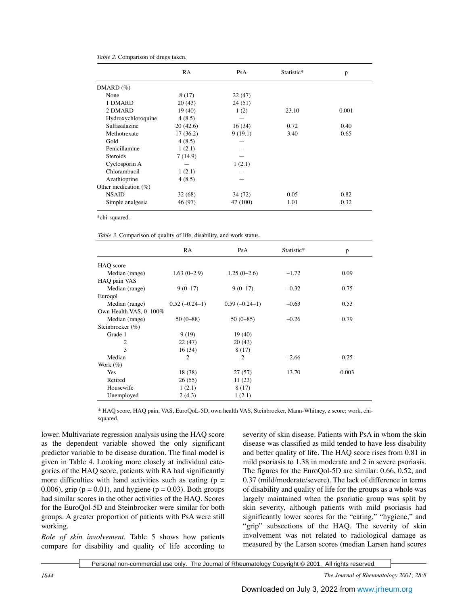|  |  |  |  | Table 2. Comparison of drugs taken. |  |  |  |
|--|--|--|--|-------------------------------------|--|--|--|
|--|--|--|--|-------------------------------------|--|--|--|

|                      | RA       | PsA      | Statistic* | p     |
|----------------------|----------|----------|------------|-------|
| $DMARD (\%)$         |          |          |            |       |
| None                 | 8(17)    | 22 (47)  |            |       |
| 1 DMARD              | 20(43)   | 24(51)   |            |       |
| 2 DMARD              | 19(40)   | 1(2)     | 23.10      | 0.001 |
| Hydroxychloroquine   | 4(8.5)   |          |            |       |
| Sulfasalazine        | 20(42.6) | 16(34)   | 0.72       | 0.40  |
| Methotrexate         | 17(36.2) | 9(19.1)  | 3.40       | 0.65  |
| Gold                 | 4(8.5)   |          |            |       |
| Penicillamine        | 1(2.1)   |          |            |       |
| <b>Steroids</b>      | 7(14.9)  |          |            |       |
| Cyclosporin A        |          | 1(2.1)   |            |       |
| Chlorambucil         | 1(2.1)   |          |            |       |
| Azathioprine         | 4(8.5)   |          |            |       |
| Other medication (%) |          |          |            |       |
| <b>NSAID</b>         | 32(68)   | 34 (72)  | 0.05       | 0.82  |
| Simple analgesia     | 46 (97)  | 47 (100) | 1.01       | 0.32  |

\*chi-squared.

*Table 3.* Comparison of quality of life, disability, and work status.

|                        | <b>RA</b>       | PsA             | Statistic* | p     |
|------------------------|-----------------|-----------------|------------|-------|
| HAO score              |                 |                 |            |       |
| Median (range)         | $1.63(0-2.9)$   | $1.25(0-2.6)$   | $-1.72$    | 0.09  |
| HAQ pain VAS           |                 |                 |            |       |
| Median (range)         | $9(0-17)$       | $9(0-17)$       | $-0.32$    | 0.75  |
| Eurogol                |                 |                 |            |       |
| Median (range)         | $0.52(-0.24-1)$ | $0.59(-0.24-1)$ | $-0.63$    | 0.53  |
| Own Health VAS, 0-100% |                 |                 |            |       |
| Median (range)         | $50(0-88)$      | $50(0-85)$      | $-0.26$    | 0.79  |
| Steinbrocker $(\%)$    |                 |                 |            |       |
| Grade 1                | 9(19)           | 19(40)          |            |       |
| 2                      | 22(47)          | 20(43)          |            |       |
| $\mathcal{E}$          | 16(34)          | 8(17)           |            |       |
| Median                 | $\overline{c}$  | $\overline{c}$  | $-2.66$    | 0.25  |
| Work $(\%)$            |                 |                 |            |       |
| Yes                    | 18 (38)         | 27(57)          | 13.70      | 0.003 |
| Retired                | 26(55)          | 11(23)          |            |       |
| Housewife              | 1(2.1)          | 8(17)           |            |       |
| Unemployed             | 2(4.3)          | 1(2.1)          |            |       |

\* HAQ score, HAQ pain, VAS, EuroQoL-5D, own health VAS, Steinbrocker, Mann-Whitney, z score; work, chisquared.

lower. Multivariate regression analysis using the HAQ score as the dependent variable showed the only significant predictor variable to be disease duration. The final model is given in Table 4. Looking more closely at individual categories of the HAQ score, patients with RA had significantly more difficulties with hand activities such as eating  $(p =$ 0.006), grip ( $p = 0.01$ ), and hygiene ( $p = 0.03$ ). Both groups had similar scores in the other activities of the HAQ. Scores for the EuroQol-5D and Steinbrocker were similar for both groups. A greater proportion of patients with PsA were still working.

*Role of skin involvement.* Table 5 shows how patients compare for disability and quality of life according to

severity of skin disease. Patients with PsA in whom the skin disease was classified as mild tended to have less disability and better quality of life. The HAQ score rises from 0.81 in mild psoriasis to 1.38 in moderate and 2 in severe psoriasis. The figures for the EuroQol-5D are similar: 0.66, 0.52, and 0.37 (mild/moderate/severe). The lack of difference in terms of disability and quality of life for the groups as a whole was largely maintained when the psoriatic group was split by skin severity, although patients with mild psoriasis had significantly lower scores for the "eating," "hygiene," and "grip" subsections of the HAQ. The severity of skin involvement was not related to radiological damage as measured by the Larsen scores (median Larsen hand scores

Personal non-commercial use only. The Journal of Rheumatology Copyright © 2001. All rights reserved.

*1844 The Journal of Rheumatology 2001; 28:8*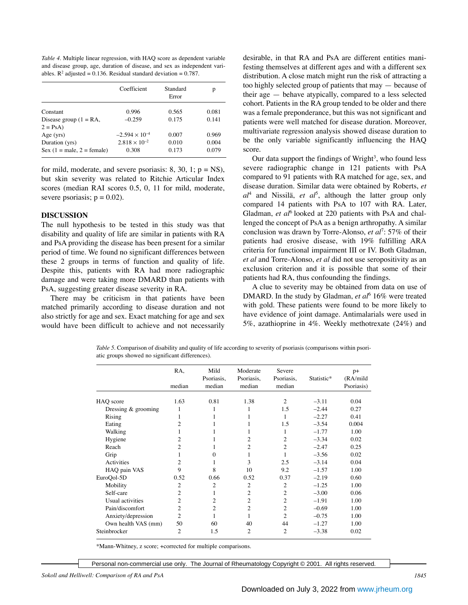*Table 4.* Multiple linear regression, with HAQ score as dependent variable and disease group, age, duration of disease, and sex as independent variables.  $\mathbb{R}^2$  adjusted = 0.136. Residual standard deviation = 0.787.

|                              | Coefficient             | Standard<br>Error | p     |
|------------------------------|-------------------------|-------------------|-------|
| Constant                     | 0.996                   | 0.565             | 0.081 |
| Disease group $(1 = RA,$     | $-0.259$                | 0.175             | 0.141 |
| $2 = PsA$ )                  |                         |                   |       |
| Age $(yrs)$                  | $-2.594 \times 10^{-4}$ | 0.007             | 0.969 |
| Duration (yrs)               | $2.818 \times 10^{-2}$  | 0.010             | 0.004 |
| Sex $(1 = male, 2 = female)$ | 0.308                   | 0.173             | 0.079 |

for mild, moderate, and severe psoriasis: 8, 30, 1;  $p = NS$ ), but skin severity was related to Ritchie Articular Index scores (median RAI scores 0.5, 0, 11 for mild, moderate, severe psoriasis;  $p = 0.02$ ).

#### **DISCUSSION**

The null hypothesis to be tested in this study was that disability and quality of life are similar in patients with RA and PsA providing the disease has been present for a similar period of time. We found no significant differences between these 2 groups in terms of function and quality of life. Despite this, patients with RA had more radiographic damage and were taking more DMARD than patients with PsA, suggesting greater disease severity in RA.

There may be criticism in that patients have been matched primarily according to disease duration and not also strictly for age and sex. Exact matching for age and sex would have been difficult to achieve and not necessarily

desirable, in that RA and PsA are different entities manifesting themselves at different ages and with a different sex distribution. A close match might run the risk of attracting a too highly selected group of patients that may — because of their age — behave atypically, compared to a less selected cohort. Patients in the RA group tended to be older and there was a female preponderance, but this was not significant and patients were well matched for disease duration. Moreover, multivariate regression analysis showed disease duration to be the only variable significantly influencing the HAQ score.

Our data support the findings of Wright<sup>3</sup>, who found less severe radiographic change in 121 patients with PsA compared to 91 patients with RA matched for age, sex, and disease duration. Similar data were obtained by Roberts, *et al*<sup>4</sup> and Nissilä, *et al*<sup>5</sup> , although the latter group only compared 14 patients with PsA to 107 with RA. Later, Gladman, *et al*6 looked at 220 patients with PsA and challenged the concept of PsA as a benign arthropathy. A similar conclusion was drawn by Torre-Alonso, *et al*<sup>7</sup> : 57% of their patients had erosive disease, with 19% fulfilling ARA criteria for functional impairment III or IV. Both Gladman, *et al* and Torre-Alonso, *et al* did not use seropositivity as an exclusion criterion and it is possible that some of their patients had RA, thus confounding the findings.

A clue to severity may be obtained from data on use of DMARD. In the study by Gladman, *et al*<sup>6</sup> 16% were treated with gold. These patients were found to be more likely to have evidence of joint damage. Antimalarials were used in 5%, azathioprine in 4%. Weekly methotrexate (24%) and

*Table 5.* Comparison of disability and quality of life according to severity of psoriasis (comparisons within psoriatic groups showed no significant differences).

|                       | RA,            | Mild<br>Psoriasis, | Moderate<br>Psoriasis, | Severe<br>Psoriasis, | Statistic* | $p+$<br>(RA/mild |
|-----------------------|----------------|--------------------|------------------------|----------------------|------------|------------------|
|                       | median         | median             | median                 | median               |            | Psoriasis)       |
| HAQ score             | 1.63           | 0.81               | 1.38                   | $\overline{c}$       | $-3.11$    | 0.04             |
| Dressing $&$ grooming |                | 1                  | 1                      | 1.5                  | $-2.44$    | 0.27             |
| Rising                | 1              | 1                  | 1                      | 1                    | $-2.27$    | 0.41             |
| Eating                | 2              |                    |                        | 1.5                  | $-3.54$    | 0.004            |
| Walking               | 1              |                    | 1                      | 1                    | $-1.77$    | 1.00             |
| Hygiene               | 2              |                    | $\overline{c}$         | 2                    | $-3.34$    | 0.02             |
| Reach                 | $\overline{c}$ |                    | $\overline{c}$         | $\overline{c}$       | $-2.47$    | 0.25             |
| Grip                  | 1              | $\mathbf{0}$       | 1                      |                      | $-3.56$    | 0.02             |
| Activities            | $\overline{c}$ | 1                  | 3                      | 2.5                  | $-3.14$    | 0.04             |
| HAQ pain VAS          | 9              | 8                  | 10                     | 9.2                  | $-1.57$    | 1.00             |
| EuroQol-5D            | 0.52           | 0.66               | 0.52                   | 0.37                 | $-2.19$    | 0.60             |
| Mobility              | $\overline{2}$ | $\overline{2}$     | $\overline{c}$         | 2                    | $-1.25$    | 1.00             |
| Self-care             | $\overline{c}$ | 1                  | $\overline{2}$         | $\overline{c}$       | $-3.00$    | 0.06             |
| Usual activities      | $\overline{c}$ | 2                  | $\overline{2}$         | $\overline{c}$       | $-1.91$    | 1.00             |
| Pain/discomfort       | $\overline{c}$ | 2                  | $\overline{c}$         | $\overline{c}$       | $-0.69$    | 1.00             |
| Anxiety/depression    | $\overline{c}$ | 1                  | 1                      | $\overline{c}$       | $-0.75$    | 1.00             |
| Own health VAS (mm)   | 50             | 60                 | 40                     | 44                   | $-1.27$    | 1.00             |
| Steinbrocker          | $\overline{c}$ | 1.5                | $\overline{c}$         | $\overline{c}$       | $-3.38$    | 0.02             |

\*Mann-Whitney, z score; +corrected for multiple comparisons.

Personal non-commercial use only. The Journal of Rheumatology Copyright © 2001. All rights reserved.

*Sokoll and Helliwell: Comparison of RA and PsA 1845*